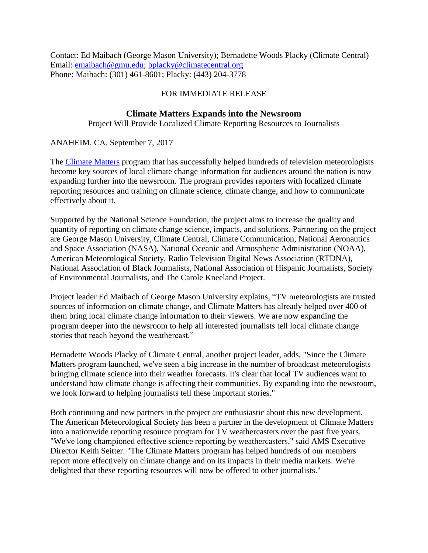Contact: Ed Maibach (George Mason University); Bernadette Woods Placky (Climate Central) Email: [emaibach@gmu.edu;](mailto:emaibach@gmu.edu) [bplacky@climatecentral.org](mailto:bplacky@climatecentral.org) Phone: Maibach: (301) 461-8601; Placky: (443) 204-3778

## FOR IMMEDIATE RELEASE

## **Climate Matters Expands into the Newsroom**

Project Will Provide Localized Climate Reporting Resources to Journalists

ANAHEIM, CA, September 7, 2017

The [Climate Matters](http://www.climatecentral.org/what-we-do/our-programs/climatematters) program that has successfully helped hundreds of television meteorologists become key sources of local climate change information for audiences around the nation is now expanding further into the newsroom. The program provides reporters with localized climate reporting resources and training on climate science, climate change, and how to communicate effectively about it.

Supported by the National Science Foundation, the project aims to increase the quality and quantity of reporting on climate change science, impacts, and solutions. Partnering on the project are George Mason University, Climate Central, Climate Communication, National Aeronautics and Space Association (NASA), National Oceanic and Atmospheric Administration (NOAA), American Meteorological Society, Radio Television Digital News Association (RTDNA), National Association of Black Journalists, National Association of Hispanic Journalists, Society of Environmental Journalists, and The Carole Kneeland Project.

Project leader Ed Maibach of George Mason University explains, "TV meteorologists are trusted sources of information on climate change, and Climate Matters has already helped over 400 of them bring local climate change information to their viewers. We are now expanding the program deeper into the newsroom to help all interested journalists tell local climate change stories that reach beyond the weathercast."

Bernadette Woods Placky of Climate Central, another project leader, adds, "Since the Climate Matters program launched, we've seen a big increase in the number of broadcast meteorologists bringing climate science into their weather forecasts. It's clear that local TV audiences want to understand how climate change is affecting their communities. By expanding into the newsroom, we look forward to helping journalists tell these important stories."

Both continuing and new partners in the project are enthusiastic about this new development. The American Meteorological Society has been a partner in the development of Climate Matters into a nationwide reporting resource program for TV weathercasters over the past five years. "We've long championed effective science reporting by weathercasters," said AMS Executive Director Keith Seitter. "The Climate Matters program has helped hundreds of our members report more effectively on climate change and on its impacts in their media markets. We're delighted that these reporting resources will now be offered to other journalists."